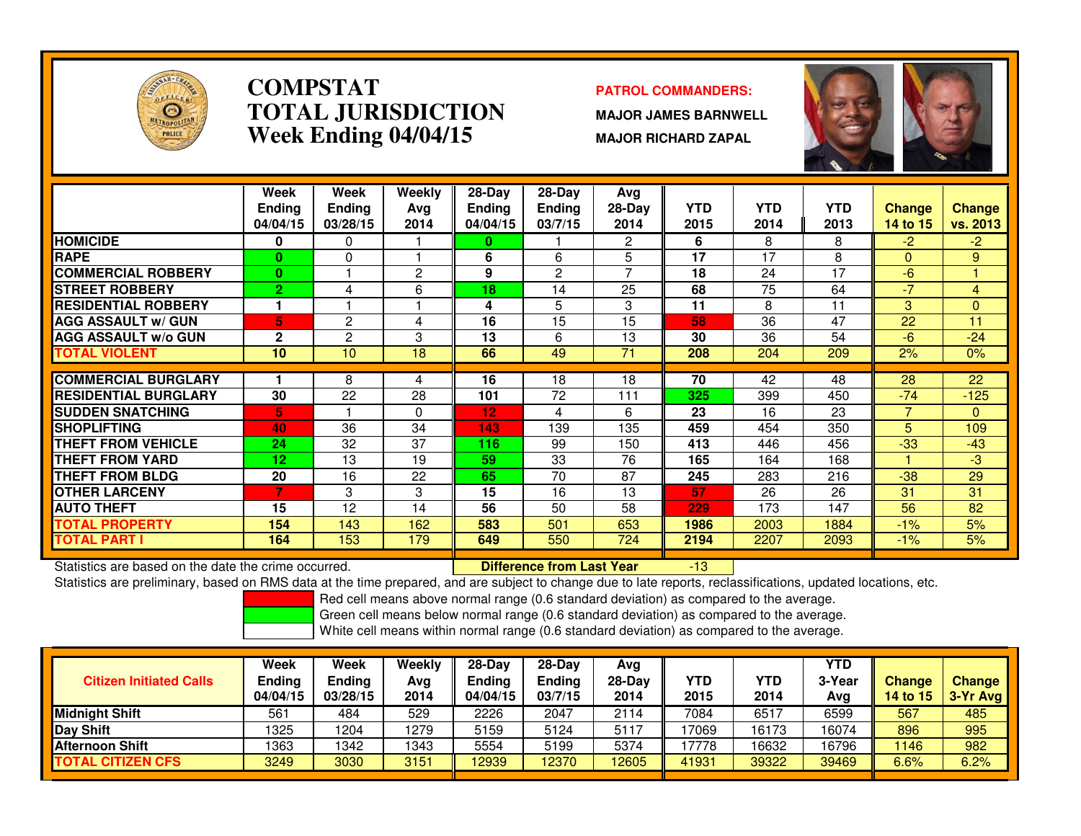

### **COMPSTATPATROL COMMANDERS:**<br> **PATROL COMMANDERS TOTAL JURISDICTIONWeek Ending 04/04/15**

 **MAJOR JAMES BARNWELL MAJOR RICHARD ZAPAL**



|                             | Week<br><b>Ending</b><br>04/04/15 | Week<br>Endina<br>03/28/15 | Weekly<br>Ava<br>2014 | $28-Day$<br><b>Endina</b><br>04/04/15 | $28-Day$<br><b>Ending</b><br>03/7/15 | Avg<br>$28-Day$<br>2014 | <b>YTD</b><br>2015 | <b>YTD</b><br>2014 | <b>YTD</b><br>2013 | <b>Change</b><br>14 to 15 | <b>Change</b><br>vs. 2013 |
|-----------------------------|-----------------------------------|----------------------------|-----------------------|---------------------------------------|--------------------------------------|-------------------------|--------------------|--------------------|--------------------|---------------------------|---------------------------|
| <b>HOMICIDE</b>             | 0                                 | 0                          |                       | 0                                     |                                      | 2                       | 6                  | 8                  | 8                  | $-2$                      | $-2$                      |
| <b>RAPE</b>                 | 0                                 | 0                          |                       | 6                                     | 6                                    | 5                       | 17                 | 17                 | 8                  | $\Omega$                  | 9                         |
| <b>COMMERCIAL ROBBERY</b>   | $\mathbf{0}$                      |                            | 2                     | 9                                     | 2                                    | 7                       | 18                 | 24                 | 17                 | -6                        |                           |
| <b>ISTREET ROBBERY</b>      | $\overline{2}$                    | 4                          | 6                     | 18                                    | 14                                   | 25                      | 68                 | 75                 | 64                 | $-7$                      | 4                         |
| <b>RESIDENTIAL ROBBERY</b>  | 1.                                |                            |                       | 4                                     | 5                                    | 3                       | 11                 | 8                  | 11                 | 3                         | $\Omega$                  |
| <b>AGG ASSAULT w/ GUN</b>   | 5.                                | 2                          | 4                     | 16                                    | 15                                   | 15                      | 58                 | 36                 | 47                 | 22                        | 11                        |
| <b>AGG ASSAULT w/o GUN</b>  | $\mathbf{2}$                      | 2                          | 3                     | 13                                    | 6                                    | 13                      | 30                 | 36                 | 54                 | -6                        | $-24$                     |
| <b>TOTAL VIOLENT</b>        | 10                                | 10                         | 18                    | 66                                    | 49                                   | 71                      | 208                | 204                | 209                | 2%                        | 0%                        |
| <b>COMMERCIAL BURGLARY</b>  |                                   | 8                          |                       | 16                                    | 18                                   | 18                      | 70                 | 42                 | 48                 | 28                        | 22                        |
|                             |                                   |                            | 4                     |                                       |                                      |                         |                    |                    |                    |                           |                           |
| <b>RESIDENTIAL BURGLARY</b> | 30                                | 22                         | 28                    | 101                                   | 72                                   | 111                     | 325                | 399                | 450                | $-74$                     | $-125$                    |
| <b>SUDDEN SNATCHING</b>     | 5                                 |                            | $\Omega$              | 12                                    | 4                                    | 6                       | 23                 | 16                 | 23                 | 7                         | $\Omega$                  |
| <b>SHOPLIFTING</b>          | 40                                | 36                         | 34                    | 143                                   | 139                                  | 135                     | 459                | 454                | 350                | 5                         | 109                       |
| <b>THEFT FROM VEHICLE</b>   | 24                                | 32                         | 37                    | 116                                   | 99                                   | 150                     | 413                | 446                | 456                | $-33$                     | $-43$                     |
| <b>THEFT FROM YARD</b>      | 12                                | 13                         | 19                    | 59                                    | 33                                   | 76                      | 165                | 164                | 168                |                           | -3                        |
| <b>THEFT FROM BLDG</b>      | 20                                | 16                         | 22                    | 65                                    | 70                                   | 87                      | 245                | 283                | 216                | $-38$                     | 29                        |
| <b>OTHER LARCENY</b>        | 7                                 | 3                          | 3                     | 15                                    | 16                                   | 13                      | 57                 | 26                 | 26                 | 31                        | 31                        |
| <b>AUTO THEFT</b>           | 15                                | 12                         | 14                    | 56                                    | 50                                   | 58                      | 229                | 173                | 147                | 56                        | 82                        |
| <b>TOTAL PROPERTY</b>       | 154                               | 143                        | 162                   | 583                                   | 501                                  | 653                     | 1986               | 2003               | 1884               | $-1%$                     | 5%                        |
| <b>TOTAL PART I</b>         | 164                               | 153                        | 179                   | 649                                   | 550                                  | 724                     | 2194               | 2207               | 2093               | $-1%$                     | 5%                        |

Statistics are based on the date the crime occurred. **Difference from Last Year** 

Statistics are based on the date the crime occurred. **[19] Letter Lubber 19 Letter are Statistics** are based on the date time occurred.<br>Statistics are preliminary, based on RMS data at the time prepared, and are subject to

Red cell means above normal range (0.6 standard deviation) as compared to the average.

Green cell means below normal range (0.6 standard deviation) as compared to the average.

| <b>Citizen Initiated Calls</b> | Week<br>Ending<br>04/04/15 | <b>Week</b><br><b>Ending</b><br>03/28/15 | Weekly<br>Avg<br>2014 | $28-Dav$<br>Ending<br>04/04/15 | $28-Day$<br>Ending<br>03/7/15 | Avg<br>$28-Day$<br>2014 | YTD<br>2015 | YTD<br>2014 | YTD<br>3-Year<br>Avg | <b>Change</b><br>14 to 15 | <b>Change</b><br>3-Yr Avg |
|--------------------------------|----------------------------|------------------------------------------|-----------------------|--------------------------------|-------------------------------|-------------------------|-------------|-------------|----------------------|---------------------------|---------------------------|
| Midnight Shift                 | 561                        | 484                                      | 529                   | 2226                           | 2047                          | 2114                    | 7084        | 6517        | 6599                 | 567                       | 485                       |
| Day Shift                      | 1325                       | 1204                                     | 1279                  | 5159                           | 5124                          | 5117                    | 17069       | 16173       | 16074                | 896                       | 995                       |
| <b>Afternoon Shift</b>         | 1363                       | 1342                                     | 1343                  | 5554                           | 5199                          | 5374                    | 17778       | 16632       | 16796                | 1146                      | 982                       |
| <b>TOTAL CITIZEN CFS</b>       | 3249                       | 3030                                     | 3151                  | 12939                          | 2370                          | 12605                   | 41931       | 39322       | 39469                | 6.6%                      | 6.2%                      |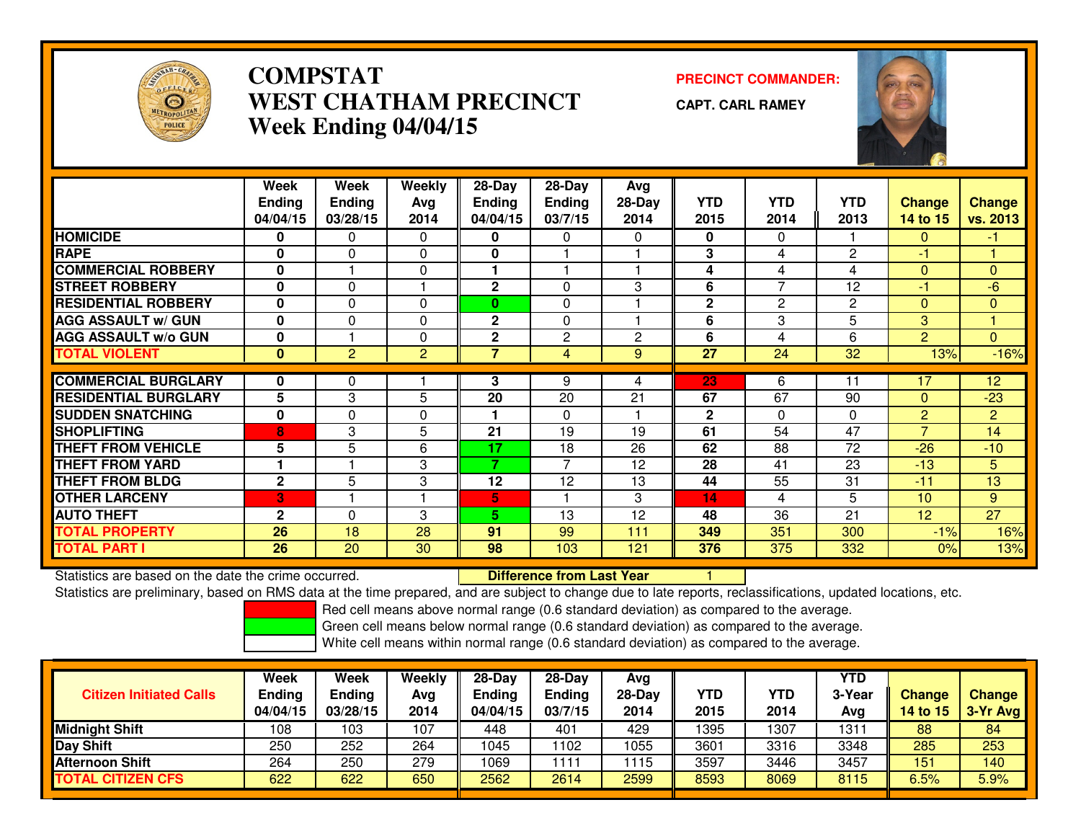

## **COMPSTAT PRECINCT COMMANDER: WEST CHATHAM PRECINCTWeek Ending 04/04/15**

**CAPT. CARL RAMEY**



|                             | Week<br><b>Ending</b><br>04/04/15 | Week<br><b>Ending</b><br>03/28/15 | Weekly<br>Avg<br>2014 | 28-Day<br><b>Ending</b><br>04/04/15 | 28-Day<br><b>Ending</b><br>03/7/15 | Avg<br>$28-Day$<br>2014 | <b>YTD</b><br>2015 | <b>YTD</b><br>2014 | <b>YTD</b><br>2013 | <b>Change</b><br>14 to 15 | <b>Change</b><br>vs. 2013 |
|-----------------------------|-----------------------------------|-----------------------------------|-----------------------|-------------------------------------|------------------------------------|-------------------------|--------------------|--------------------|--------------------|---------------------------|---------------------------|
| <b>HOMICIDE</b>             | 0                                 | 0                                 | $\Omega$              | 0                                   | 0                                  | 0                       | $\bf{0}$           | $\mathbf 0$        |                    | $\mathbf{0}$              | -1                        |
| <b>RAPE</b>                 | 0                                 | $\Omega$                          | 0                     | $\mathbf 0$                         |                                    |                         | 3                  | 4                  | 2                  | -1                        |                           |
| <b>COMMERCIAL ROBBERY</b>   | 0                                 |                                   | 0                     | 1                                   |                                    |                         | 4                  | 4                  | 4                  | $\Omega$                  | $\mathbf{0}$              |
| <b>ISTREET ROBBERY</b>      | $\mathbf{0}$                      | $\Omega$                          |                       | $\mathbf{2}$                        | $\Omega$                           | 3                       | 6                  | $\overline{7}$     | 12                 | $-1$                      | $-6$                      |
| <b>RESIDENTIAL ROBBERY</b>  | 0                                 | $\Omega$                          | 0                     | $\bf{0}$                            | $\Omega$                           |                         | $\overline{2}$     | 2                  | 2                  | $\Omega$                  | $\mathbf{0}$              |
| <b>AGG ASSAULT w/ GUN</b>   | 0                                 | $\Omega$                          | 0                     | $\mathbf 2$                         | 0                                  |                         | 6                  | 3                  | 5                  | 3                         |                           |
| <b>AGG ASSAULT w/o GUN</b>  | 0                                 |                                   | 0                     | $\overline{2}$                      | 2                                  | $\overline{c}$          | 6                  | 4                  | 6                  | $\overline{2}$            | $\Omega$                  |
| <b>TOTAL VIOLENT</b>        | $\mathbf{0}$                      | $\overline{2}$                    | $\overline{2}$        | 7                                   | 4                                  | 9                       | 27                 | 24                 | 32                 | 13%                       | $-16%$                    |
|                             |                                   |                                   |                       |                                     |                                    |                         |                    |                    |                    |                           |                           |
| <b>COMMERCIAL BURGLARY</b>  | 0                                 | 0                                 |                       | 3                                   | 9                                  | 4                       | 23                 | 6                  | 11                 | 17                        | 12                        |
| <b>RESIDENTIAL BURGLARY</b> | 5                                 | 3                                 | 5                     | 20                                  | 20                                 | 21                      | 67                 | 67                 | 90                 | $\Omega$                  | $-23$                     |
| <b>SUDDEN SNATCHING</b>     | 0                                 | $\Omega$                          | 0                     | 1                                   | $\Omega$                           |                         | $\mathbf{2}$       | $\mathbf{0}$       | $\Omega$           | 2                         | $\overline{2}$            |
| <b>SHOPLIFTING</b>          | 8                                 | 3                                 | 5                     | 21                                  | 19                                 | 19                      | 61                 | 54                 | 47                 | $\overline{7}$            | 14                        |
| <b>THEFT FROM VEHICLE</b>   | 5                                 | 5                                 | 6                     | 17                                  | 18                                 | 26                      | 62                 | 88                 | 72                 | $-26$                     | $-10$                     |
| <b>THEFT FROM YARD</b>      | 1                                 |                                   | 3                     | 7                                   | 7                                  | 12                      | 28                 | 41                 | 23                 | $-13$                     | 5                         |
| <b>THEFT FROM BLDG</b>      | $\mathbf{2}$                      | 5                                 | 3                     | 12                                  | 12                                 | 13                      | 44                 | 55                 | 31                 | $-11$                     | 13                        |
| <b>OTHER LARCENY</b>        | 3                                 |                                   |                       | 5                                   |                                    | 3                       | 14                 | 4                  | 5                  | 10                        | 9                         |
| <b>AUTO THEFT</b>           | $\mathbf{2}$                      | $\mathbf{0}$                      | 3                     | 5.                                  | 13                                 | 12                      | 48                 | 36                 | 21                 | 12                        | $\overline{27}$           |
| <b>TOTAL PROPERTY</b>       | 26                                | 18                                | 28                    | 91                                  | 99                                 | 111                     | 349                | 351                | 300                | $-1%$                     | 16%                       |
| <b>TOTAL PART I</b>         | 26                                | 20                                | 30                    | 98                                  | 103                                | 121                     | 376                | 375                | 332                | 0%                        | 13%                       |

Statistics are based on the date the crime occurred. **Difference from Last Year** 

Statistics are based on the date the crime occurred. **The Difference from Last Year Prometable 1996**<br>Statistics are preliminary, based on RMS data at the time prepared, and are subject to change due to late reports, reclas

Red cell means above normal range (0.6 standard deviation) as compared to the average.

Green cell means below normal range (0.6 standard deviation) as compared to the average.

| <b>Citizen Initiated Calls</b> | Week<br><b>Ending</b><br>04/04/15 | Week<br>Ending<br>03/28/15 | Weekly<br>Avg<br>2014 | $28-Dav$<br><b>Ending</b><br>04/04/15 | 28-Day<br><b>Ending</b><br>03/7/15 | Avg<br>$28-Day$<br>2014 | YTD<br>2015 | YTD<br>2014 | <b>YTD</b><br>3-Year<br>Avg | <b>Change</b><br><b>14 to 15</b> | <b>Change</b><br>$3-Yr$ Avg |
|--------------------------------|-----------------------------------|----------------------------|-----------------------|---------------------------------------|------------------------------------|-------------------------|-------------|-------------|-----------------------------|----------------------------------|-----------------------------|
| <b>Midnight Shift</b>          | 108                               | 103                        | 107                   | 448                                   | 401                                | 429                     | 1395        | 1307        | 1311                        | 88                               | 84                          |
| <b>Day Shift</b>               | 250                               | 252                        | 264                   | 1045                                  | 102                                | 1055                    | 3601        | 3316        | 3348                        | 285                              | 253                         |
| Afternoon Shift                | 264                               | 250                        | 279                   | 1069                                  | 111                                | 1115                    | 3597        | 3446        | 3457                        | 151                              | 140                         |
| <b>TOTAL CITIZEN CFS</b>       | 622                               | 622                        | 650                   | 2562                                  | 2614                               | 2599                    | 8593        | 8069        | 8115                        | 6.5%                             | 5.9%                        |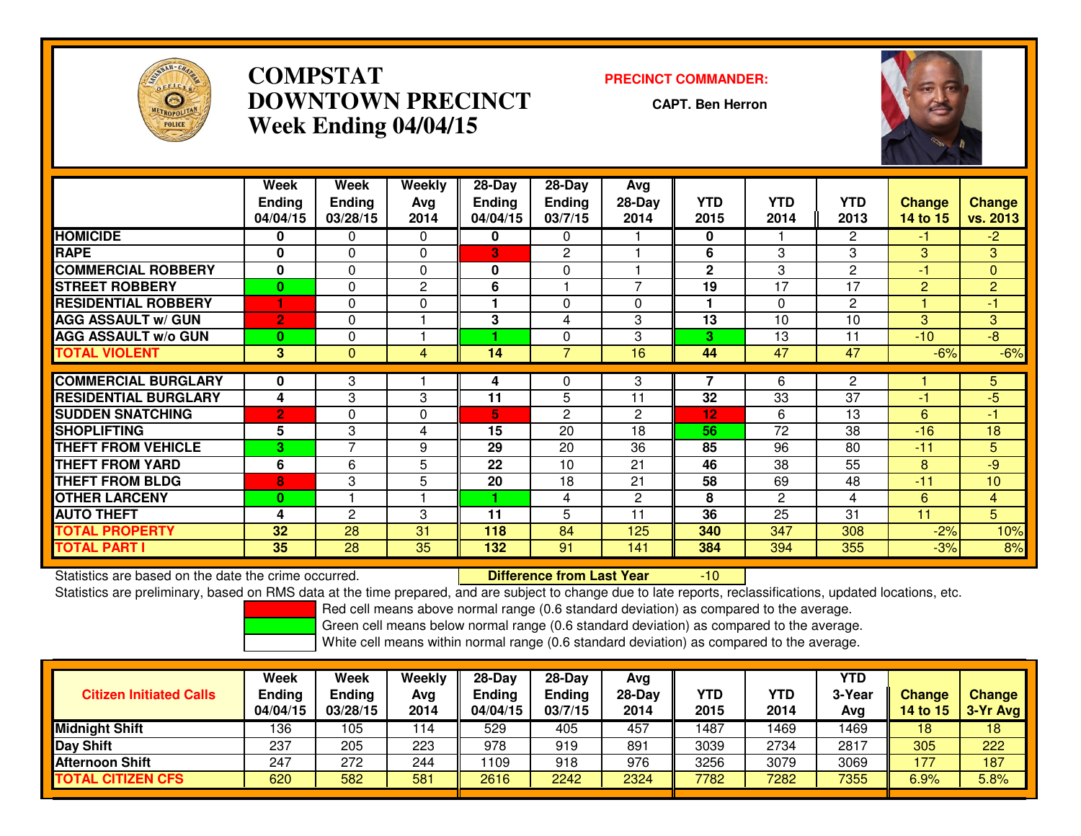

## **COMPSTAT PRECINCT COMMANDER: DOWNTOWN PRECINCTWeek Ending 04/04/15**

**CAPT. Ben Herron**



|                             | Week<br><b>Ending</b><br>04/04/15 | Week<br><b>Ending</b><br>03/28/15 | Weekly<br>Avg<br>2014 | $28-Day$<br><b>Ending</b><br>04/04/15 | $28-Day$<br><b>Ending</b><br>03/7/15 | Avg<br>$28-Day$<br>2014 | <b>YTD</b><br>2015 | <b>YTD</b><br>2014 | <b>YTD</b><br>2013 | <b>Change</b><br>14 to 15 | <b>Change</b><br>vs. 2013 |
|-----------------------------|-----------------------------------|-----------------------------------|-----------------------|---------------------------------------|--------------------------------------|-------------------------|--------------------|--------------------|--------------------|---------------------------|---------------------------|
| <b>HOMICIDE</b>             | 0                                 | 0                                 | 0                     | $\mathbf 0$                           | $\Omega$                             |                         | 0                  |                    | 2                  | -1                        | $-2$                      |
| <b>RAPE</b>                 | U                                 | 0                                 | 0                     | 3                                     | $\mathbf{2}$                         |                         | 6                  | 3                  | 3                  | 3                         | 3                         |
| <b>COMMERCIAL ROBBERY</b>   | 0                                 | 0                                 | $\Omega$              | $\mathbf 0$                           | $\mathbf{0}$                         |                         | $\mathbf{2}$       | 3                  | 2                  | -1                        | $\mathbf{0}$              |
| <b>STREET ROBBERY</b>       | $\mathbf{0}$                      | 0                                 | $\overline{2}$        | 6                                     |                                      | $\overline{7}$          | 19                 | 17                 | 17                 | $\overline{2}$            | $\overline{2}$            |
| <b>RESIDENTIAL ROBBERY</b>  |                                   | 0                                 | $\Omega$              |                                       | $\Omega$                             | $\Omega$                | 1                  | $\Omega$           | 2                  |                           | -1                        |
| <b>AGG ASSAULT w/ GUN</b>   | $\overline{2}$                    | 0                                 |                       | 3                                     | 4                                    | 3                       | 13                 | 10                 | 10                 | 3                         | 3                         |
| <b>AGG ASSAULT w/o GUN</b>  | $\mathbf{0}$                      | 0                                 |                       |                                       | $\mathbf{0}$                         | 3                       | 3                  | 13                 | 11                 | $-10$                     | $-8$                      |
| <b>TOTAL VIOLENT</b>        | 3                                 | $\Omega$                          | 4                     | 14                                    | $\overline{7}$                       | 16                      | 44                 | 47                 | 47                 | $-6%$                     | $-6%$                     |
| <b>COMMERCIAL BURGLARY</b>  | 0                                 | 3                                 |                       | 4                                     | $\Omega$                             | 3                       |                    | 6                  | 2                  |                           | 5                         |
| <b>RESIDENTIAL BURGLARY</b> |                                   |                                   | 3                     |                                       | 5                                    | 11                      | 32                 | 33                 | 37                 | -1                        | $-5$                      |
|                             | 4                                 | 3                                 |                       | 11                                    |                                      |                         |                    |                    |                    |                           |                           |
| <b>SUDDEN SNATCHING</b>     | $\overline{2}$                    | 0                                 | 0                     | 5                                     | 2                                    | 2                       | 12                 | 6                  | 13                 | 6                         | -1                        |
| <b>SHOPLIFTING</b>          | 5                                 | 3                                 | 4                     | 15                                    | 20                                   | 18                      | 56                 | 72                 | 38                 | $-16$                     | 18                        |
| <b>THEFT FROM VEHICLE</b>   | 3                                 | $\overline{7}$                    | 9                     | 29                                    | 20                                   | 36                      | 85                 | 96                 | 80                 | $-11$                     | 5                         |
| <b>THEFT FROM YARD</b>      | 6                                 | 6                                 | 5                     | 22                                    | 10                                   | 21                      | 46                 | 38                 | 55                 | 8                         | $-9$                      |
| <b>THEFT FROM BLDG</b>      | 8                                 | 3                                 | 5                     | 20                                    | 18                                   | 21                      | 58                 | 69                 | 48                 | $-11$                     | 10                        |
| <b>OTHER LARCENY</b>        | 0                                 |                                   |                       | 4.                                    | 4                                    | 2                       | 8                  | $\overline{2}$     | 4                  | 6                         | $\overline{4}$            |
| <b>AUTO THEFT</b>           | 4                                 | 2                                 | 3                     | 11                                    | 5                                    | 11                      | 36                 | 25                 | 31                 | 11                        | 5                         |
| <b>TOTAL PROPERTY</b>       | 32                                | 28                                | 31                    | 118                                   | 84                                   | 125                     | 340                | 347                | 308                | $-2%$                     | 10%                       |
| <b>TOTAL PART I</b>         | 35                                | 28                                | 35                    | 132                                   | 91                                   | 141                     | 384                | 394                | 355                | $-3%$                     | 8%                        |

Statistics are based on the date the crime occurred. **Difference from Last Year** 

Statistics are based on the date the crime occurred.<br>Statistics are preliminary, based on RMS data at the time prepared, and are subject to change due to late reports, reclassifications, updated locations, etc.

Red cell means above normal range (0.6 standard deviation) as compared to the average.

Green cell means below normal range (0.6 standard deviation) as compared to the average.

| <b>Citizen Initiated Calls</b> | Week<br><b>Ending</b><br>04/04/15 | Week<br>Ending<br>03/28/15 | Weekly<br>Avg<br>2014 | 28-Day<br><b>Ending</b><br>04/04/15 | $28-Dav$<br>Ending<br>03/7/15 | Ava<br>28-Day<br>2014 | <b>YTD</b><br>2015 | <b>YTD</b><br>2014 | YTD<br>3-Year<br>Avg | <b>Change</b><br><b>14 to 15</b> | <b>Change</b><br>3-Yr Avg |
|--------------------------------|-----------------------------------|----------------------------|-----------------------|-------------------------------------|-------------------------------|-----------------------|--------------------|--------------------|----------------------|----------------------------------|---------------------------|
| <b>Midnight Shift</b>          | 136                               | ١05                        | 114                   | 529                                 | 405                           | 457                   | 487                | 1469               | 1469                 | 18                               | 18                        |
| <b>Day Shift</b>               | 237                               | 205                        | 223                   | 978                                 | 919                           | 891                   | 3039               | 2734               | 2817                 | 305                              | 222                       |
| <b>Afternoon Shift</b>         | 247                               | 272                        | 244                   | 109                                 | 918                           | 976                   | 3256               | 3079               | 3069                 | 177                              | 187                       |
| <b>TOTAL CITIZEN CFS</b>       | 620                               | 582                        | 581                   | 2616                                | 2242                          | 2324                  | 7782               | 7282               | 7355                 | 6.9%                             | 5.8%                      |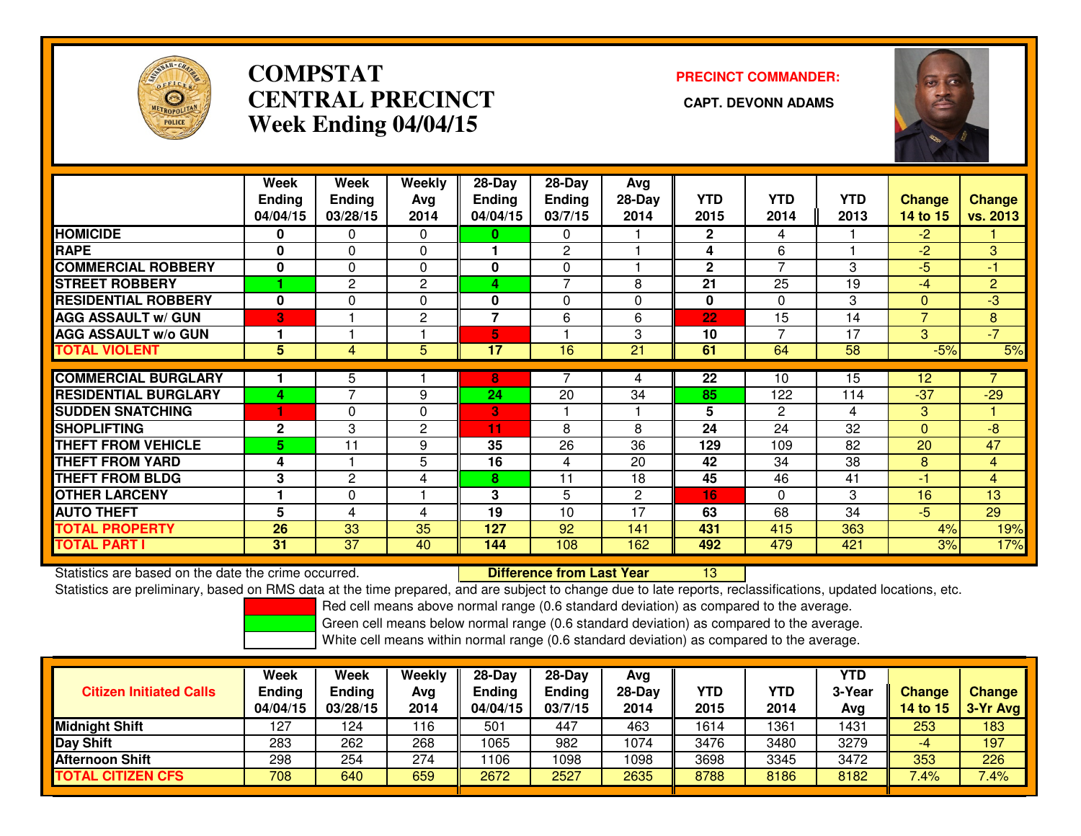

## **COMPSTATCENTRAL PRECINCT Week Ending 04/04/15**

# **PRECINCT COMMANDER:**



|                             | Week            | Week           | Weekly         | 28-Day         | 28-Day        | Avg      |              |                |            |                   |                |
|-----------------------------|-----------------|----------------|----------------|----------------|---------------|----------|--------------|----------------|------------|-------------------|----------------|
|                             | <b>Ending</b>   | <b>Ending</b>  | Avg            | <b>Ending</b>  | <b>Ending</b> | $28-Day$ | <b>YTD</b>   | <b>YTD</b>     | <b>YTD</b> | <b>Change</b>     | <b>Change</b>  |
|                             | 04/04/15        | 03/28/15       | 2014           | 04/04/15       | 03/7/15       | 2014     | 2015         | 2014           | 2013       | 14 to 15          | vs. 2013       |
| <b>HOMICIDE</b>             | $\bf{0}$        | 0              | $\Omega$       | 0              | $\Omega$      |          | $\mathbf{2}$ | 4              |            | $-2$              |                |
| <b>RAPE</b>                 | $\bf{0}$        | 0              | 0              |                | 2             |          | 4            | 6              |            | $-2$              | 3              |
| <b>COMMERCIAL ROBBERY</b>   | 0               | $\Omega$       | $\Omega$       | 0              | 0             |          | $\mathbf{2}$ | 7              | 3          | -5                | $-1$           |
| <b>STREET ROBBERY</b>       |                 | $\overline{2}$ | $\mathbf{2}$   | 4              | 7             | 8        | 21           | 25             | 19         | $-4$              | $\overline{2}$ |
| <b>RESIDENTIAL ROBBERY</b>  | $\bf{0}$        | $\Omega$       | $\Omega$       | 0              | $\Omega$      | $\Omega$ | $\bf{0}$     | $\Omega$       | 3          | $\Omega$          | $-3$           |
| <b>AGG ASSAULT w/ GUN</b>   | B               |                | $\mathbf{2}$   | $\overline{7}$ | 6             | 6        | 22           | 15             | 14         | $\overline{7}$    | 8              |
| <b>AGG ASSAULT w/o GUN</b>  |                 |                |                | 5              |               | 3        | 10           | 7              | 17         | 3                 | $-7$           |
| <b>TOTAL VIOLENT</b>        | $5\phantom{.0}$ | 4              | 5              | 17             | 16            | 21       | 61           | 64             | 58         | $-5%$             | 5%             |
|                             |                 |                |                |                |               |          |              |                |            |                   |                |
| <b>COMMERCIAL BURGLARY</b>  |                 | 5              |                | 8              |               | 4        | 22           | 10             | 15         | $12 \overline{ }$ |                |
| <b>RESIDENTIAL BURGLARY</b> | 4               | $\overline{ }$ | 9              | 24             | 20            | 34       | 85           | 122            | 114        | $-37$             | $-29$          |
| <b>SUDDEN SNATCHING</b>     |                 | 0              | $\Omega$       | 3              |               |          | 5            | $\overline{2}$ | 4          | 3                 |                |
| <b>SHOPLIFTING</b>          | $\mathbf{2}$    | 3              | $\overline{c}$ | 11             | 8             | 8        | 24           | 24             | 32         | $\Omega$          | $-8$           |
| <b>THEFT FROM VEHICLE</b>   | 5.              | 11             | 9              | 35             | 26            | 36       | 129          | 109            | 82         | 20                | 47             |
| <b>THEFT FROM YARD</b>      | 4               |                | 5              | 16             | 4             | 20       | 42           | 34             | 38         | 8                 | $\overline{4}$ |
| <b>THEFT FROM BLDG</b>      | 3               | $\overline{2}$ | 4              | 8              | 11            | 18       | 45           | 46             | 41         | $-1$              | $\overline{4}$ |
| <b>OTHER LARCENY</b>        |                 | 0              |                | 3              | 5             | 2        | 16           | $\Omega$       | 3          | 16                | 13             |
| <b>AUTO THEFT</b>           | 5               | 4              | 4              | 19             | 10            | 17       | 63           | 68             | 34         | $-5$              | 29             |
| <b>TOTAL PROPERTY</b>       | 26              | 33             | 35             | 127            | 92            | 141      | 431          | 415            | 363        | 4%                | 19%            |
| <b>TOTAL PART I</b>         | 31              | 37             | 40             | 144            | 108           | 162      | 492          | 479            | 421        | 3%                | 17%            |

Statistics are based on the date the crime occurred. **Difference from Last Year** 

<sup>13</sup>

Statistics are preliminary, based on RMS data at the time prepared, and are subject to change due to late reports, reclassifications, updated locations, etc.

Red cell means above normal range (0.6 standard deviation) as compared to the average.

Green cell means below normal range (0.6 standard deviation) as compared to the average.

| <b>Citizen Initiated Calls</b> | Week<br>Ending<br>04/04/15 | <b>Week</b><br>Ending<br>03/28/15 | Weekly<br>Avg<br>2014 | 28-Day<br>Endina<br>04/04/15 | $28-Day$<br><b>Ending</b><br>03/7/15 | Avg<br>28-Day<br>2014 | YTD<br>2015 | <b>YTD</b><br>2014 | YTD<br>3-Year<br>Avg | <b>Change</b><br>14 to 15 | <b>Change</b><br>$3-Yr$ Avg |
|--------------------------------|----------------------------|-----------------------------------|-----------------------|------------------------------|--------------------------------------|-----------------------|-------------|--------------------|----------------------|---------------------------|-----------------------------|
| Midnight Shift                 | 127                        | 124                               | 116                   | 501                          | 447                                  | 463                   | 1614        | 1361               | 1431                 | 253                       | 183                         |
| Day Shift                      | 283                        | 262                               | 268                   | 1065                         | 982                                  | 1074                  | 3476        | 3480               | 3279                 | -4                        | 197                         |
| <b>Afternoon Shift</b>         | 298                        | 254                               | 274                   | 1106                         | 1098                                 | 1098                  | 3698        | 3345               | 3472                 | 353                       | 226                         |
| <b>TOTAL CITIZEN CFS</b>       | 708                        | 640                               | 659                   | 2672                         | 2527                                 | 2635                  | 8788        | 8186               | 8182                 | 7.4%                      | 7.4%                        |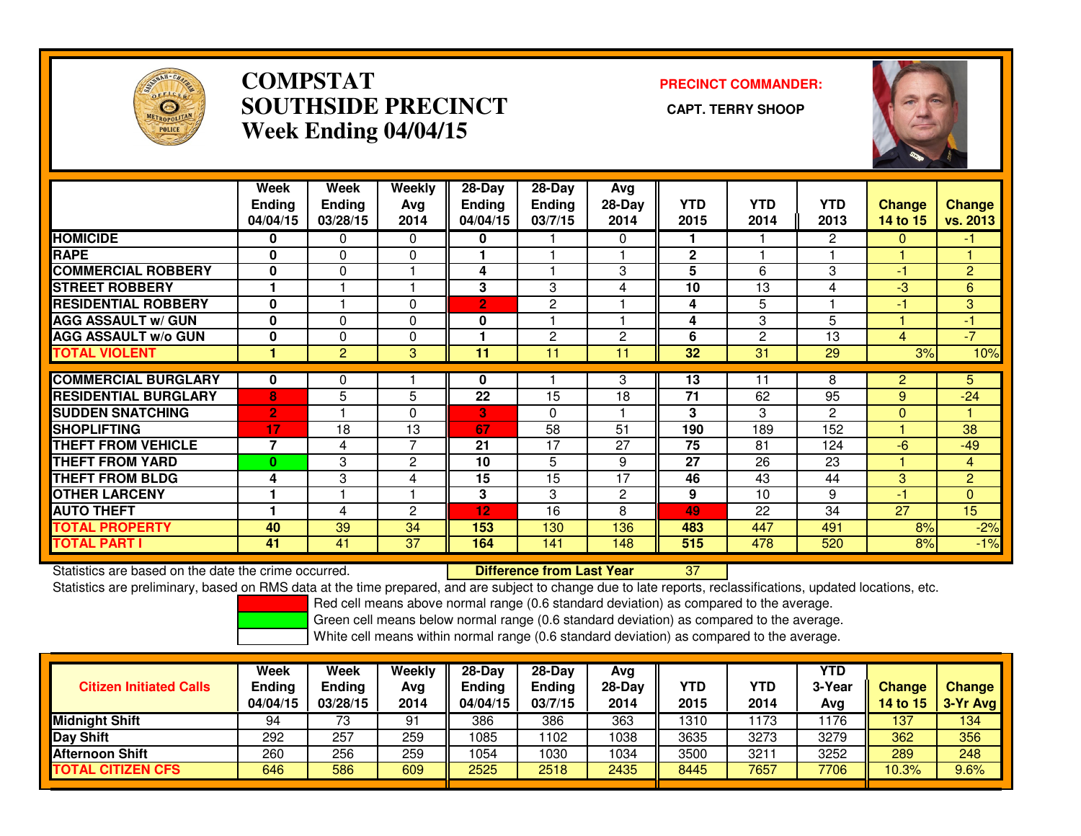

## **COMPSTAT PRECINCT COMMANDER: SOUTHSIDE PRECINCT CAPT. TERRY SHOOPWeek Ending 04/04/15**



|                             | Week<br><b>Ending</b><br>04/04/15 | Week<br><b>Ending</b><br>03/28/15 | <b>Weekly</b><br>Avg<br>2014 | $28 - Day$<br><b>Ending</b><br>04/04/15 | $28 - Day$<br><b>Ending</b><br>03/7/15 | Avg<br>$28-Day$<br>2014 | <b>YTD</b><br>2015 | <b>YTD</b><br>2014 | <b>YTD</b><br>2013 | <b>Change</b><br>14 to 15 | <b>Change</b><br>vs. 2013 |
|-----------------------------|-----------------------------------|-----------------------------------|------------------------------|-----------------------------------------|----------------------------------------|-------------------------|--------------------|--------------------|--------------------|---------------------------|---------------------------|
| <b>HOMICIDE</b>             | 0                                 | 0                                 | 0                            | 0                                       |                                        | 0                       | 1                  |                    | 2                  | $\mathbf{0}$              | -1                        |
| <b>RAPE</b>                 | $\bf{0}$                          | $\mathbf{0}$                      | 0                            |                                         |                                        |                         | $\overline{2}$     |                    |                    |                           |                           |
| <b>COMMERCIAL ROBBERY</b>   | $\mathbf{0}$                      | $\Omega$                          |                              | 4                                       |                                        | 3                       | 5                  | 6                  | 3                  | $-1$                      | 2                         |
| <b>STREET ROBBERY</b>       |                                   |                                   |                              | 3                                       | 3                                      | 4                       | 10                 | 13                 | 4                  | -3                        | 6                         |
| <b>RESIDENTIAL ROBBERY</b>  | $\bf{0}$                          |                                   | $\Omega$                     | $\overline{2}$                          | 2                                      |                         | 4                  | 5                  |                    | -1                        | 3                         |
| <b>AGG ASSAULT w/ GUN</b>   | $\mathbf{0}$                      | $\Omega$                          | $\Omega$                     | 0                                       |                                        |                         | 4                  | 3                  | 5                  |                           | -1                        |
| <b>AGG ASSAULT w/o GUN</b>  | $\bf{0}$                          | $\Omega$                          | $\Omega$                     |                                         | $\overline{2}$                         | 2                       | 6                  | 2                  | 13                 | 4                         | $-7$                      |
| <b>TOTAL VIOLENT</b>        |                                   | 2                                 | 3                            | 11                                      | 11                                     | 11                      | 32                 | 31                 | 29                 | 3%                        | 10%                       |
|                             |                                   |                                   |                              |                                         |                                        |                         |                    |                    |                    |                           |                           |
| <b>COMMERCIAL BURGLARY</b>  | $\bf{0}$                          | 0                                 |                              | 0                                       |                                        | 3                       | 13                 | 11                 | 8                  | $\overline{2}$            | 5.                        |
| <b>RESIDENTIAL BURGLARY</b> | 8                                 | 5                                 | 5                            | 22                                      | 15                                     | 18                      | 71                 | 62                 | 95                 | 9                         | $-24$                     |
| <b>SUDDEN SNATCHING</b>     | $\overline{2}$                    |                                   | $\Omega$                     | 3                                       | $\Omega$                               |                         | 3                  | 3                  | $\overline{c}$     | $\Omega$                  |                           |
| <b>SHOPLIFTING</b>          | 17                                | 18                                | 13                           | 67                                      | 58                                     | 51                      | 190                | 189                | 152                |                           | 38                        |
| <b>THEFT FROM VEHICLE</b>   | $\overline{7}$                    | 4                                 | $\overline{7}$               | 21                                      | 17                                     | 27                      | 75                 | 81                 | 124                | $-6$                      | $-49$                     |
| <b>THEFT FROM YARD</b>      | $\bf{0}$                          | 3                                 | $\overline{2}$               | 10                                      | 5                                      | 9                       | 27                 | 26                 | 23                 |                           | 4                         |
| <b>THEFT FROM BLDG</b>      | 4                                 | 3                                 | 4                            | 15                                      | 15                                     | 17                      | 46                 | 43                 | 44                 | 3                         | $\overline{2}$            |
| <b>OTHER LARCENY</b>        |                                   |                                   |                              | 3                                       | 3                                      | 2                       | 9                  | 10                 | 9                  | -1                        | $\mathbf{0}$              |
| <b>AUTO THEFT</b>           |                                   | 4                                 | $\overline{2}$               | 12                                      | 16                                     | 8                       | 49                 | 22                 | 34                 | 27                        | 15                        |
| <b>TOTAL PROPERTY</b>       | 40                                | 39                                | 34                           | 153                                     | 130                                    | 136                     | 483                | 447                | 491                | 8%                        | $-2%$                     |
| <b>TOTAL PART I</b>         | 41                                | 41                                | 37                           | 164                                     | 141                                    | 148                     | 515                | 478                | 520                | 8%                        | $-1%$                     |

Statistics are based on the date the crime occurred. **Difference from Last Year** 

Statistics are based on the date the crime occurred. **Externee the Luid Confference from Last Year Net all 27 Lu**<br>Statistics are preliminary, based on RMS data at the time prepared, and are subject to change due to late re

Red cell means above normal range (0.6 standard deviation) as compared to the average.

Green cell means below normal range (0.6 standard deviation) as compared to the average.

| <b>Citizen Initiated Calls</b> | <b>Week</b><br><b>Ending</b><br>04/04/15 | <b>Week</b><br><b>Ending</b><br>03/28/15 | Weekly<br>Avg<br>2014 | $28-Dav$<br><b>Ending</b><br>04/04/15 | $28-Dav$<br>Ending<br>03/7/15 | Ava<br>$28-Day$<br>2014 | YTD<br>2015 | YTD<br>2014 | YTD<br>3-Year<br>Avg | <b>Change</b><br>14 to 15 | <b>Change</b><br>3-Yr Avg |
|--------------------------------|------------------------------------------|------------------------------------------|-----------------------|---------------------------------------|-------------------------------|-------------------------|-------------|-------------|----------------------|---------------------------|---------------------------|
| <b>Midnight Shift</b>          | 94                                       | 73                                       | 91                    | 386                                   | 386                           | 363                     | 1310        | 173         | 176                  | 137                       | 134                       |
| Day Shift                      | 292                                      | 257                                      | 259                   | 1085                                  | 102                           | 1038                    | 3635        | 3273        | 3279                 | 362                       | 356                       |
| <b>Afternoon Shift</b>         | 260                                      | 256                                      | 259                   | 1054                                  | 030                           | 1034                    | 3500        | 3211        | 3252                 | 289                       | 248                       |
| <b>TOTAL CITIZEN CFS</b>       | 646                                      | 586                                      | 609                   | 2525                                  | 2518                          | 2435                    | 8445        | 7657        | 7706                 | 10.3%                     | 9.6%                      |